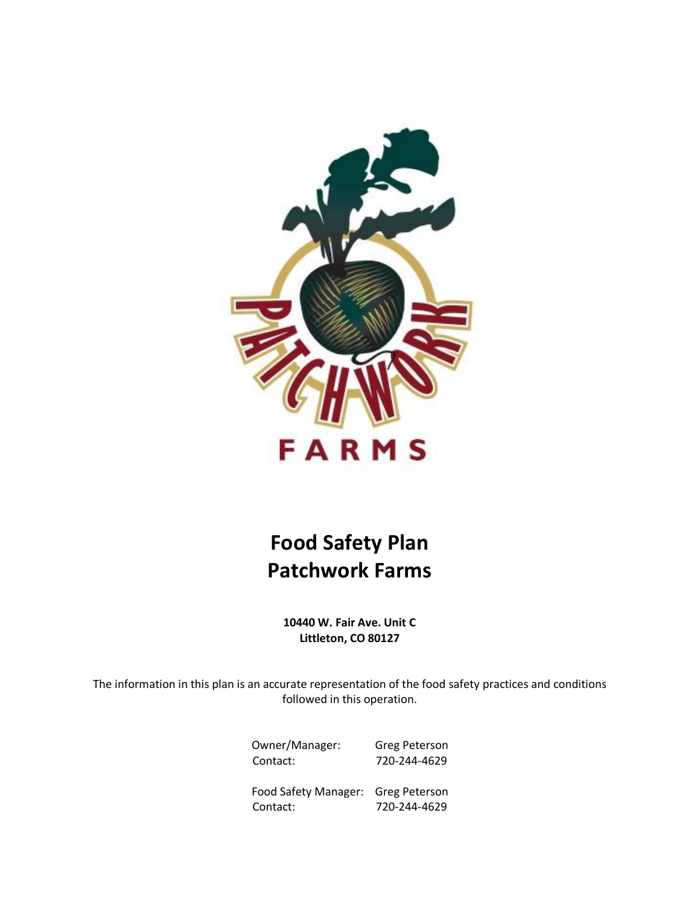

# **Food Safety Plan Patchwork Farms**

**10440 W. Fair Ave. Unit C Littleton, CO 80127**

The information in this plan is an accurate representation of the food safety practices and conditions followed in this operation.

> Owner/Manager: Greg Peterson Contact: 720-244-4629

> Food Safety Manager: Greg Peterson Contact: 720-244-4629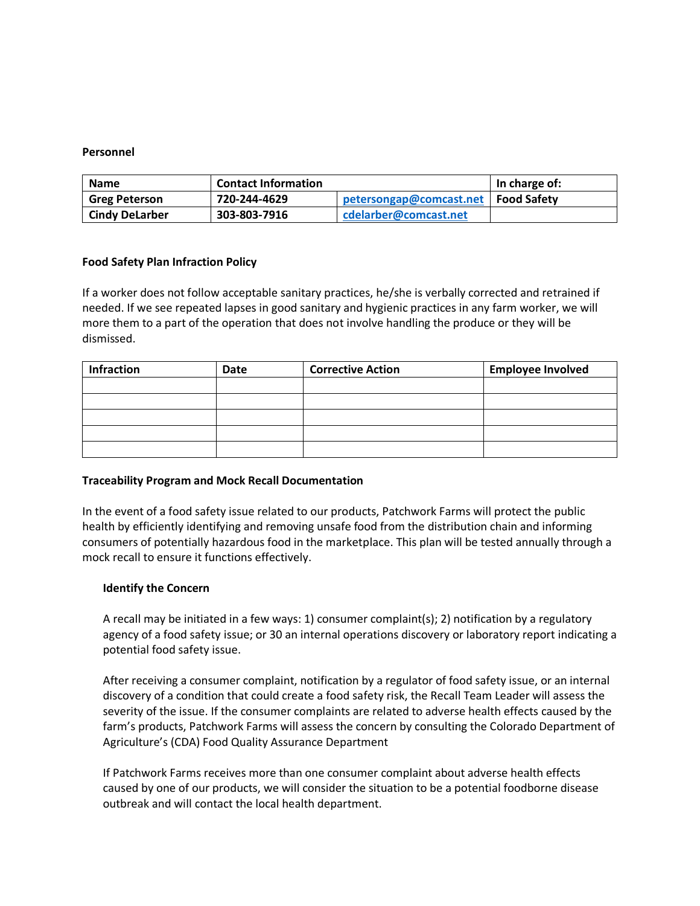#### **Personnel**

| <b>Name</b>           | <b>Contact Information</b> |                                       | In charge of: |
|-----------------------|----------------------------|---------------------------------------|---------------|
| <b>Greg Peterson</b>  | 720-244-4629               | petersongap@comcast.net   Food Safety |               |
| <b>Cindy DeLarber</b> | 303-803-7916               | cdelarber@comcast.net                 |               |

#### **Food Safety Plan Infraction Policy**

If a worker does not follow acceptable sanitary practices, he/she is verbally corrected and retrained if needed. If we see repeated lapses in good sanitary and hygienic practices in any farm worker, we will more them to a part of the operation that does not involve handling the produce or they will be dismissed.

| <b>Infraction</b> | Date | <b>Corrective Action</b> | <b>Employee Involved</b> |
|-------------------|------|--------------------------|--------------------------|
|                   |      |                          |                          |
|                   |      |                          |                          |
|                   |      |                          |                          |
|                   |      |                          |                          |
|                   |      |                          |                          |

#### **Traceability Program and Mock Recall Documentation**

In the event of a food safety issue related to our products, Patchwork Farms will protect the public health by efficiently identifying and removing unsafe food from the distribution chain and informing consumers of potentially hazardous food in the marketplace. This plan will be tested annually through a mock recall to ensure it functions effectively.

#### **Identify the Concern**

A recall may be initiated in a few ways: 1) consumer complaint(s); 2) notification by a regulatory agency of a food safety issue; or 30 an internal operations discovery or laboratory report indicating a potential food safety issue.

After receiving a consumer complaint, notification by a regulator of food safety issue, or an internal discovery of a condition that could create a food safety risk, the Recall Team Leader will assess the severity of the issue. If the consumer complaints are related to adverse health effects caused by the farm's products, Patchwork Farms will assess the concern by consulting the Colorado Department of Agriculture's (CDA) Food Quality Assurance Department

If Patchwork Farms receives more than one consumer complaint about adverse health effects caused by one of our products, we will consider the situation to be a potential foodborne disease outbreak and will contact the local health department.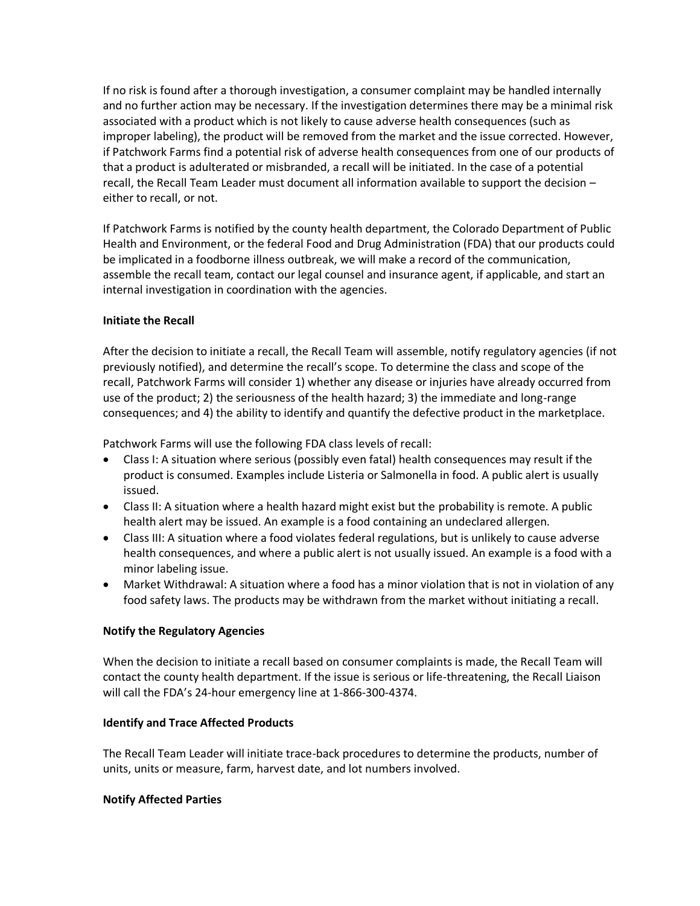If no risk is found after a thorough investigation, a consumer complaint may be handled internally and no further action may be necessary. If the investigation determines there may be a minimal risk associated with a product which is not likely to cause adverse health consequences (such as improper labeling), the product will be removed from the market and the issue corrected. However, if Patchwork Farms find a potential risk of adverse health consequences from one of our products of that a product is adulterated or misbranded, a recall will be initiated. In the case of a potential recall, the Recall Team Leader must document all information available to support the decision – either to recall, or not.

If Patchwork Farms is notified by the county health department, the Colorado Department of Public Health and Environment, or the federal Food and Drug Administration (FDA) that our products could be implicated in a foodborne illness outbreak, we will make a record of the communication, assemble the recall team, contact our legal counsel and insurance agent, if applicable, and start an internal investigation in coordination with the agencies.

# **Initiate the Recall**

After the decision to initiate a recall, the Recall Team will assemble, notify regulatory agencies (if not previously notified), and determine the recall's scope. To determine the class and scope of the recall, Patchwork Farms will consider 1) whether any disease or injuries have already occurred from use of the product; 2) the seriousness of the health hazard; 3) the immediate and long-range consequences; and 4) the ability to identify and quantify the defective product in the marketplace.

Patchwork Farms will use the following FDA class levels of recall:

- Class I: A situation where serious (possibly even fatal) health consequences may result if the product is consumed. Examples include Listeria or Salmonella in food. A public alert is usually issued.
- Class II: A situation where a health hazard might exist but the probability is remote. A public health alert may be issued. An example is a food containing an undeclared allergen.
- Class III: A situation where a food violates federal regulations, but is unlikely to cause adverse health consequences, and where a public alert is not usually issued. An example is a food with a minor labeling issue.
- Market Withdrawal: A situation where a food has a minor violation that is not in violation of any food safety laws. The products may be withdrawn from the market without initiating a recall.

# **Notify the Regulatory Agencies**

When the decision to initiate a recall based on consumer complaints is made, the Recall Team will contact the county health department. If the issue is serious or life-threatening, the Recall Liaison will call the FDA's 24-hour emergency line at 1-866-300-4374.

# **Identify and Trace Affected Products**

The Recall Team Leader will initiate trace-back procedures to determine the products, number of units, units or measure, farm, harvest date, and lot numbers involved.

# **Notify Affected Parties**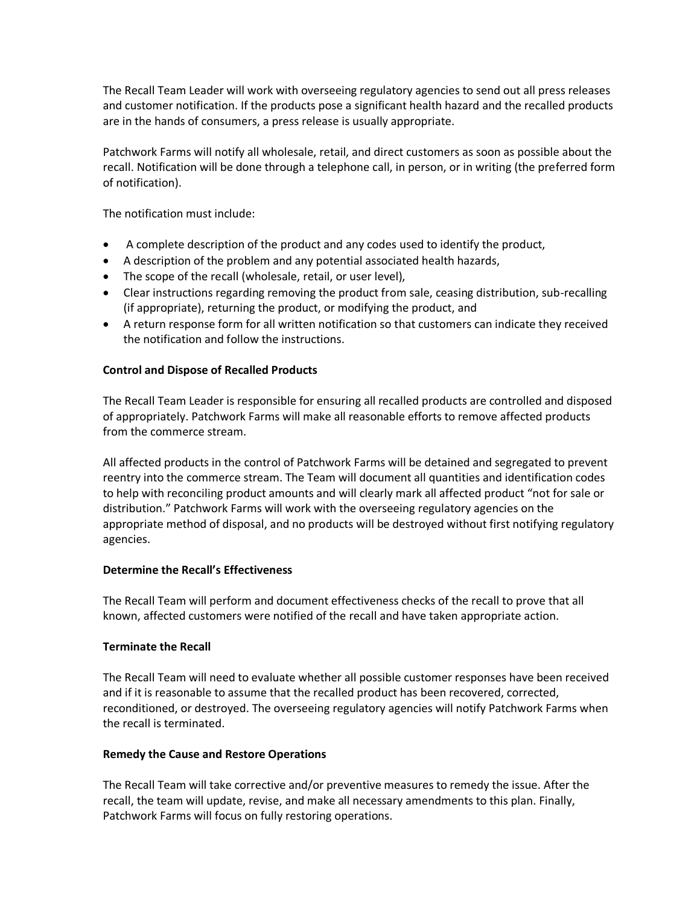The Recall Team Leader will work with overseeing regulatory agencies to send out all press releases and customer notification. If the products pose a significant health hazard and the recalled products are in the hands of consumers, a press release is usually appropriate.

Patchwork Farms will notify all wholesale, retail, and direct customers as soon as possible about the recall. Notification will be done through a telephone call, in person, or in writing (the preferred form of notification).

The notification must include:

- A complete description of the product and any codes used to identify the product,
- A description of the problem and any potential associated health hazards,
- The scope of the recall (wholesale, retail, or user level),
- Clear instructions regarding removing the product from sale, ceasing distribution, sub-recalling (if appropriate), returning the product, or modifying the product, and
- A return response form for all written notification so that customers can indicate they received the notification and follow the instructions.

# **Control and Dispose of Recalled Products**

The Recall Team Leader is responsible for ensuring all recalled products are controlled and disposed of appropriately. Patchwork Farms will make all reasonable efforts to remove affected products from the commerce stream.

All affected products in the control of Patchwork Farms will be detained and segregated to prevent reentry into the commerce stream. The Team will document all quantities and identification codes to help with reconciling product amounts and will clearly mark all affected product "not for sale or distribution." Patchwork Farms will work with the overseeing regulatory agencies on the appropriate method of disposal, and no products will be destroyed without first notifying regulatory agencies.

# **Determine the Recall's Effectiveness**

The Recall Team will perform and document effectiveness checks of the recall to prove that all known, affected customers were notified of the recall and have taken appropriate action.

# **Terminate the Recall**

The Recall Team will need to evaluate whether all possible customer responses have been received and if it is reasonable to assume that the recalled product has been recovered, corrected, reconditioned, or destroyed. The overseeing regulatory agencies will notify Patchwork Farms when the recall is terminated.

# **Remedy the Cause and Restore Operations**

The Recall Team will take corrective and/or preventive measures to remedy the issue. After the recall, the team will update, revise, and make all necessary amendments to this plan. Finally, Patchwork Farms will focus on fully restoring operations.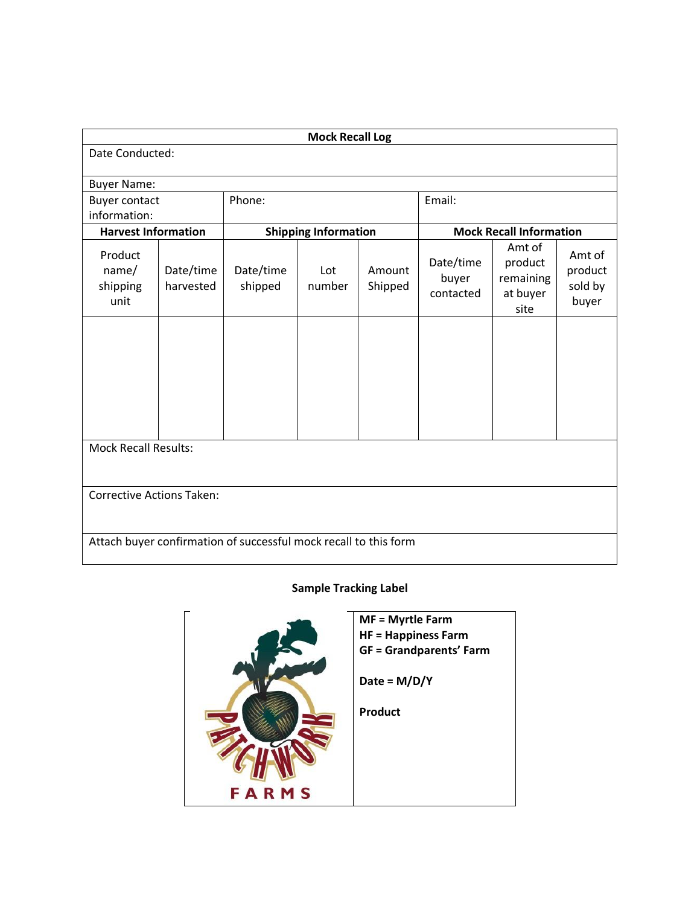| <b>Mock Recall Log</b>                                           |                        |                      |                                                               |                   |                                 |                                                    |                                       |
|------------------------------------------------------------------|------------------------|----------------------|---------------------------------------------------------------|-------------------|---------------------------------|----------------------------------------------------|---------------------------------------|
| Date Conducted:                                                  |                        |                      |                                                               |                   |                                 |                                                    |                                       |
| <b>Buyer Name:</b>                                               |                        |                      |                                                               |                   |                                 |                                                    |                                       |
| <b>Buyer contact</b>                                             |                        | Phone:               |                                                               |                   | Email:                          |                                                    |                                       |
| information:                                                     |                        |                      |                                                               |                   |                                 |                                                    |                                       |
| <b>Harvest Information</b>                                       |                        |                      | <b>Mock Recall Information</b><br><b>Shipping Information</b> |                   |                                 |                                                    |                                       |
| Product<br>name/<br>shipping<br>unit                             | Date/time<br>harvested | Date/time<br>shipped | Lot<br>number                                                 | Amount<br>Shipped | Date/time<br>buyer<br>contacted | Amt of<br>product<br>remaining<br>at buyer<br>site | Amt of<br>product<br>sold by<br>buyer |
|                                                                  |                        |                      |                                                               |                   |                                 |                                                    |                                       |
| <b>Mock Recall Results:</b>                                      |                        |                      |                                                               |                   |                                 |                                                    |                                       |
| <b>Corrective Actions Taken:</b>                                 |                        |                      |                                                               |                   |                                 |                                                    |                                       |
| Attach buyer confirmation of successful mock recall to this form |                        |                      |                                                               |                   |                                 |                                                    |                                       |

# **Sample Tracking Label**

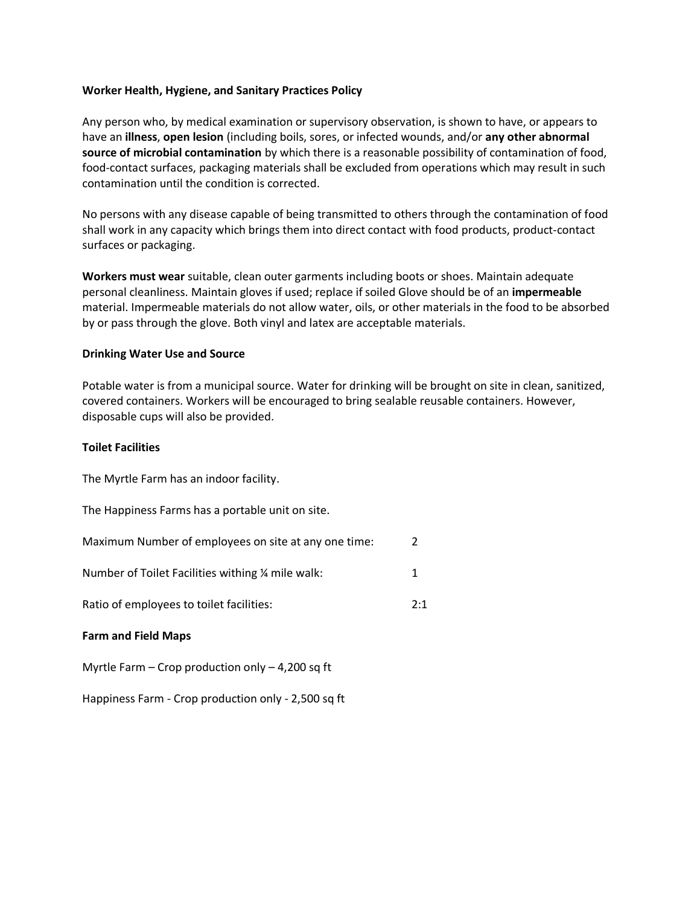#### **Worker Health, Hygiene, and Sanitary Practices Policy**

Any person who, by medical examination or supervisory observation, is shown to have, or appears to have an **illness**, **open lesion** (including boils, sores, or infected wounds, and/or **any other abnormal source of microbial contamination** by which there is a reasonable possibility of contamination of food, food-contact surfaces, packaging materials shall be excluded from operations which may result in such contamination until the condition is corrected.

No persons with any disease capable of being transmitted to others through the contamination of food shall work in any capacity which brings them into direct contact with food products, product-contact surfaces or packaging.

**Workers must wear** suitable, clean outer garments including boots or shoes. Maintain adequate personal cleanliness. Maintain gloves if used; replace if soiled Glove should be of an **impermeable** material. Impermeable materials do not allow water, oils, or other materials in the food to be absorbed by or pass through the glove. Both vinyl and latex are acceptable materials.

#### **Drinking Water Use and Source**

Potable water is from a municipal source. Water for drinking will be brought on site in clean, sanitized, covered containers. Workers will be encouraged to bring sealable reusable containers. However, disposable cups will also be provided.

#### **Toilet Facilities**

The Myrtle Farm has an indoor facility.

The Happiness Farms has a portable unit on site.

| Maximum Number of employees on site at any one time: | $\mathcal{L}$ |
|------------------------------------------------------|---------------|
| Number of Toilet Facilities withing % mile walk:     |               |
| Ratio of employees to toilet facilities:             | 2:1           |

# **Farm and Field Maps**

Myrtle Farm – Crop production only – 4,200 sq ft

Happiness Farm - Crop production only - 2,500 sq ft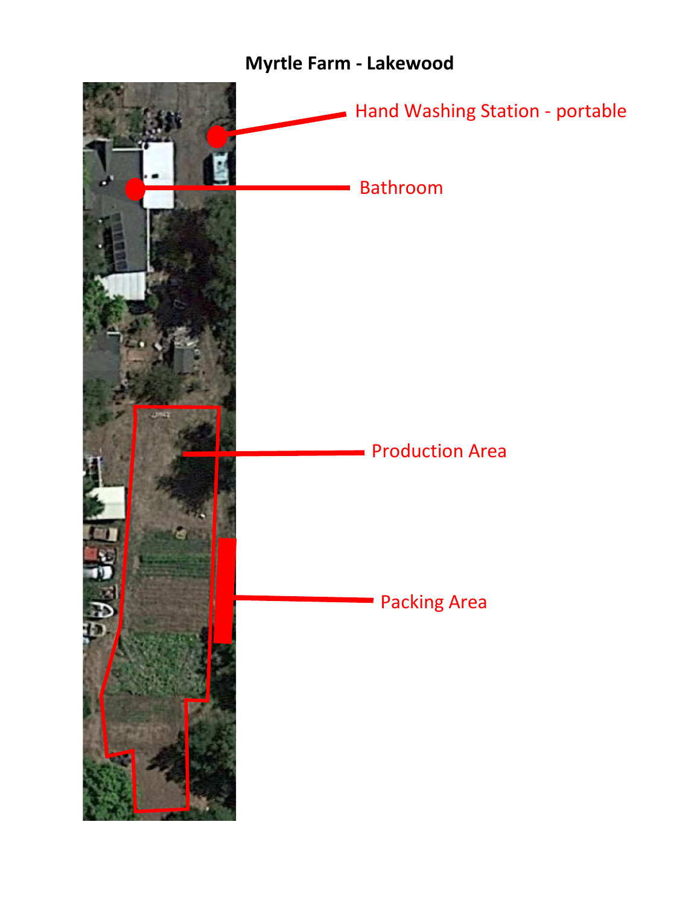# **Myrtle Farm - Lakewood**

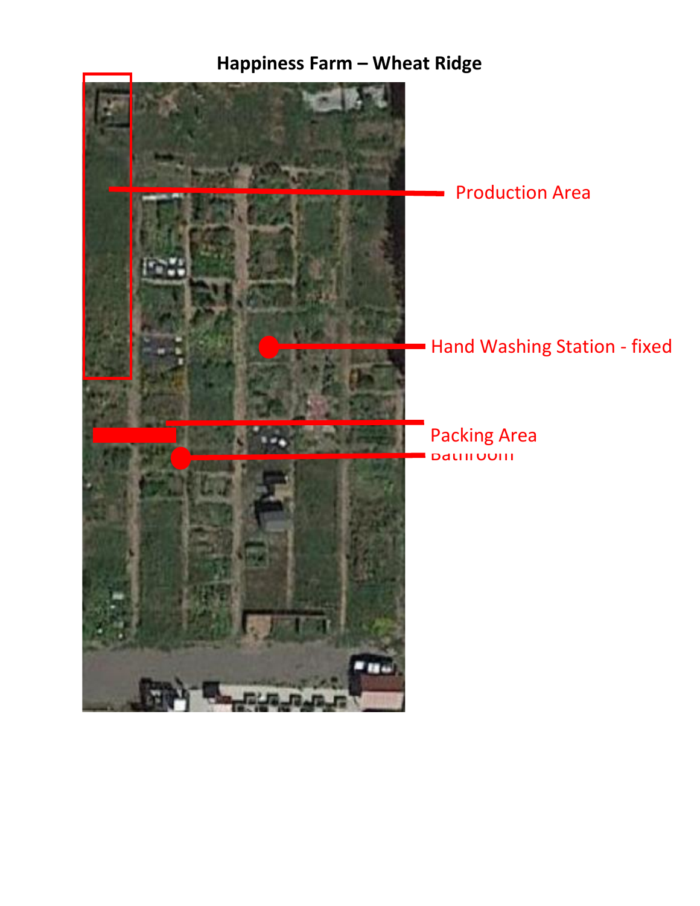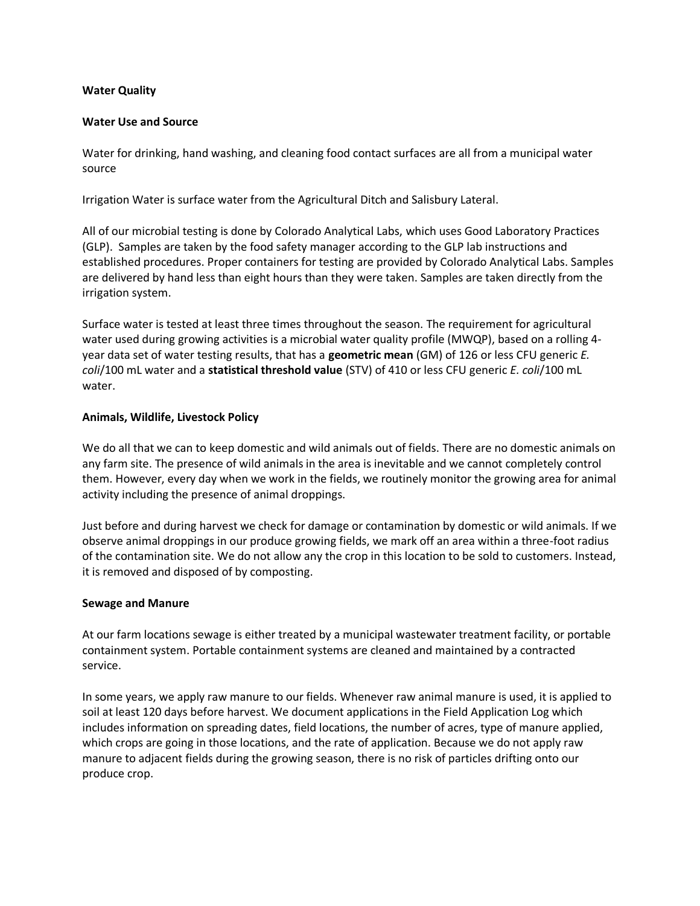#### **Water Quality**

#### **Water Use and Source**

Water for drinking, hand washing, and cleaning food contact surfaces are all from a municipal water source

Irrigation Water is surface water from the Agricultural Ditch and Salisbury Lateral.

All of our microbial testing is done by Colorado Analytical Labs, which uses Good Laboratory Practices (GLP). Samples are taken by the food safety manager according to the GLP lab instructions and established procedures. Proper containers for testing are provided by Colorado Analytical Labs. Samples are delivered by hand less than eight hours than they were taken. Samples are taken directly from the irrigation system.

Surface water is tested at least three times throughout the season. The requirement for agricultural water used during growing activities is a microbial water quality profile (MWQP), based on a rolling 4 year data set of water testing results, that has a **geometric mean** (GM) of 126 or less CFU generic *E. coli*/100 mL water and a **statistical threshold value** (STV) of 410 or less CFU generic *E. coli*/100 mL water.

#### **Animals, Wildlife, Livestock Policy**

We do all that we can to keep domestic and wild animals out of fields. There are no domestic animals on any farm site. The presence of wild animals in the area is inevitable and we cannot completely control them. However, every day when we work in the fields, we routinely monitor the growing area for animal activity including the presence of animal droppings.

Just before and during harvest we check for damage or contamination by domestic or wild animals. If we observe animal droppings in our produce growing fields, we mark off an area within a three-foot radius of the contamination site. We do not allow any the crop in this location to be sold to customers. Instead, it is removed and disposed of by composting.

#### **Sewage and Manure**

At our farm locations sewage is either treated by a municipal wastewater treatment facility, or portable containment system. Portable containment systems are cleaned and maintained by a contracted service.

In some years, we apply raw manure to our fields. Whenever raw animal manure is used, it is applied to soil at least 120 days before harvest. We document applications in the Field Application Log which includes information on spreading dates, field locations, the number of acres, type of manure applied, which crops are going in those locations, and the rate of application. Because we do not apply raw manure to adjacent fields during the growing season, there is no risk of particles drifting onto our produce crop.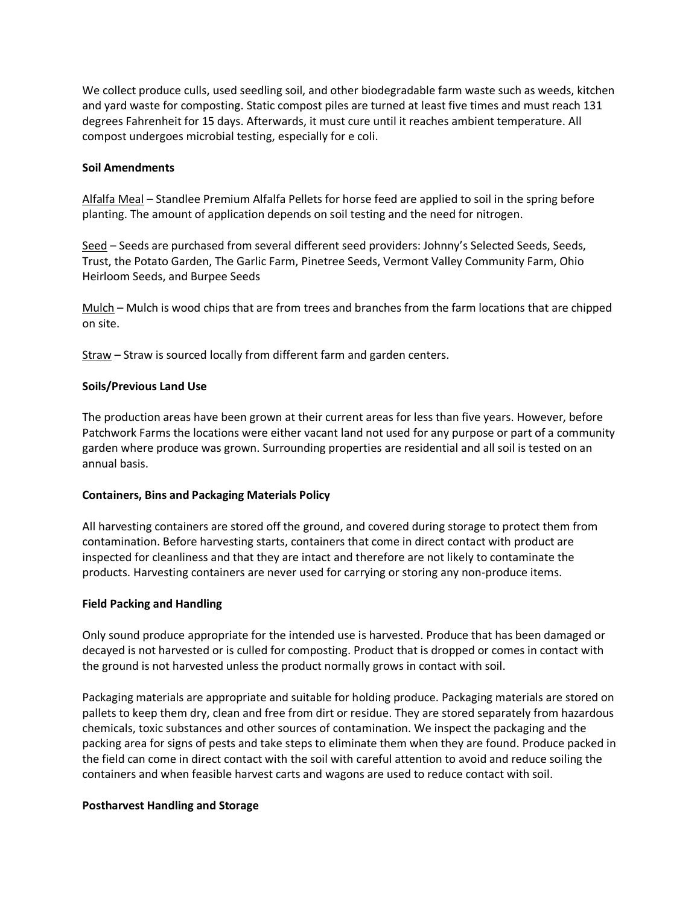We collect produce culls, used seedling soil, and other biodegradable farm waste such as weeds, kitchen and yard waste for composting. Static compost piles are turned at least five times and must reach 131 degrees Fahrenheit for 15 days. Afterwards, it must cure until it reaches ambient temperature. All compost undergoes microbial testing, especially for e coli.

# **Soil Amendments**

Alfalfa Meal – Standlee Premium Alfalfa Pellets for horse feed are applied to soil in the spring before planting. The amount of application depends on soil testing and the need for nitrogen.

Seed – Seeds are purchased from several different seed providers: Johnny's Selected Seeds, Seeds, Trust, the Potato Garden, The Garlic Farm, Pinetree Seeds, Vermont Valley Community Farm, Ohio Heirloom Seeds, and Burpee Seeds

Mulch – Mulch is wood chips that are from trees and branches from the farm locations that are chipped on site.

Straw – Straw is sourced locally from different farm and garden centers.

#### **Soils/Previous Land Use**

The production areas have been grown at their current areas for less than five years. However, before Patchwork Farms the locations were either vacant land not used for any purpose or part of a community garden where produce was grown. Surrounding properties are residential and all soil is tested on an annual basis.

#### **Containers, Bins and Packaging Materials Policy**

All harvesting containers are stored off the ground, and covered during storage to protect them from contamination. Before harvesting starts, containers that come in direct contact with product are inspected for cleanliness and that they are intact and therefore are not likely to contaminate the products. Harvesting containers are never used for carrying or storing any non-produce items.

#### **Field Packing and Handling**

Only sound produce appropriate for the intended use is harvested. Produce that has been damaged or decayed is not harvested or is culled for composting. Product that is dropped or comes in contact with the ground is not harvested unless the product normally grows in contact with soil.

Packaging materials are appropriate and suitable for holding produce. Packaging materials are stored on pallets to keep them dry, clean and free from dirt or residue. They are stored separately from hazardous chemicals, toxic substances and other sources of contamination. We inspect the packaging and the packing area for signs of pests and take steps to eliminate them when they are found. Produce packed in the field can come in direct contact with the soil with careful attention to avoid and reduce soiling the containers and when feasible harvest carts and wagons are used to reduce contact with soil.

# **Postharvest Handling and Storage**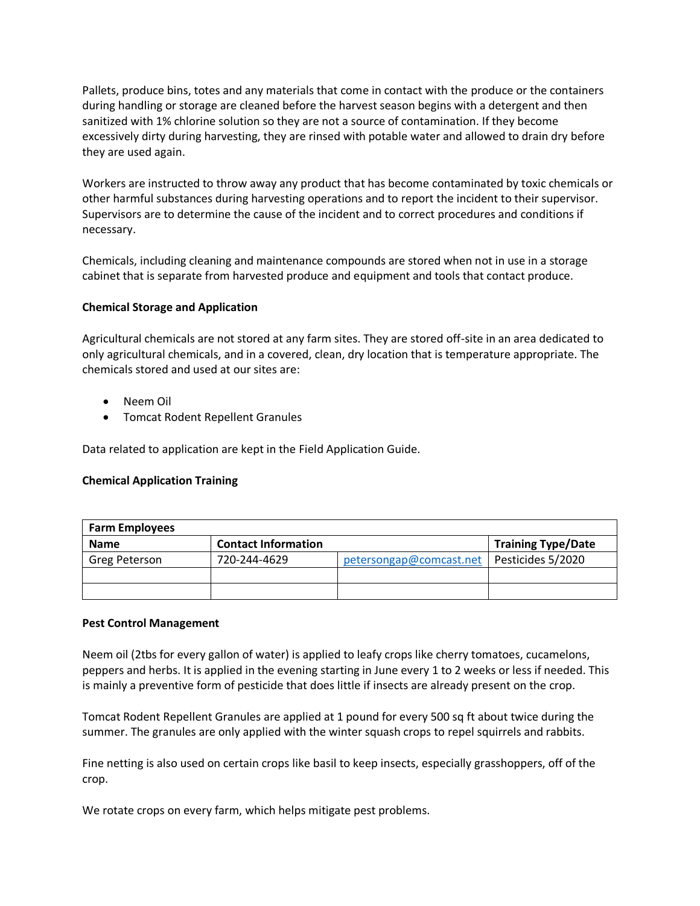Pallets, produce bins, totes and any materials that come in contact with the produce or the containers during handling or storage are cleaned before the harvest season begins with a detergent and then sanitized with 1% chlorine solution so they are not a source of contamination. If they become excessively dirty during harvesting, they are rinsed with potable water and allowed to drain dry before they are used again.

Workers are instructed to throw away any product that has become contaminated by toxic chemicals or other harmful substances during harvesting operations and to report the incident to their supervisor. Supervisors are to determine the cause of the incident and to correct procedures and conditions if necessary.

Chemicals, including cleaning and maintenance compounds are stored when not in use in a storage cabinet that is separate from harvested produce and equipment and tools that contact produce.

# **Chemical Storage and Application**

Agricultural chemicals are not stored at any farm sites. They are stored off-site in an area dedicated to only agricultural chemicals, and in a covered, clean, dry location that is temperature appropriate. The chemicals stored and used at our sites are:

- Neem Oil
- Tomcat Rodent Repellent Granules

Data related to application are kept in the Field Application Guide.

# **Chemical Application Training**

| <b>Farm Employees</b> |                            |                         |                           |  |
|-----------------------|----------------------------|-------------------------|---------------------------|--|
| <b>Name</b>           | <b>Contact Information</b> |                         | <b>Training Type/Date</b> |  |
| Greg Peterson         | 720-244-4629               | petersongap@comcast.net | Pesticides 5/2020         |  |
|                       |                            |                         |                           |  |
|                       |                            |                         |                           |  |

#### **Pest Control Management**

Neem oil (2tbs for every gallon of water) is applied to leafy crops like cherry tomatoes, cucamelons, peppers and herbs. It is applied in the evening starting in June every 1 to 2 weeks or less if needed. This is mainly a preventive form of pesticide that does little if insects are already present on the crop.

Tomcat Rodent Repellent Granules are applied at 1 pound for every 500 sq ft about twice during the summer. The granules are only applied with the winter squash crops to repel squirrels and rabbits.

Fine netting is also used on certain crops like basil to keep insects, especially grasshoppers, off of the crop.

We rotate crops on every farm, which helps mitigate pest problems.